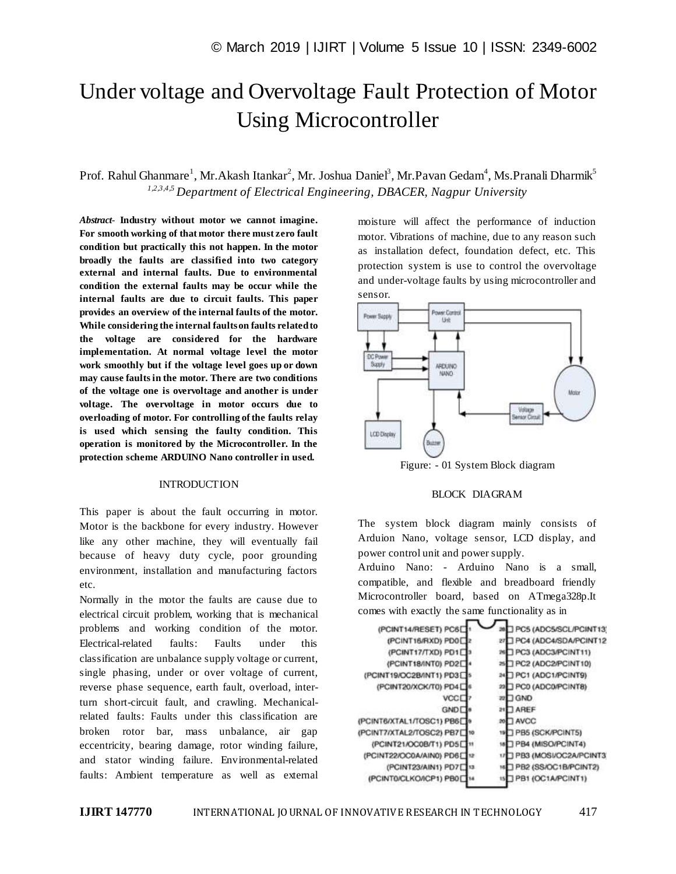# Under voltage and Overvoltage Fault Protection of Motor Using Microcontroller

Prof. Rahul Ghanmare<sup>1</sup>, Mr.Akash Itankar<sup>2</sup>, Mr. Joshua Daniel<sup>3</sup>, Mr.Pavan Gedam<sup>4</sup>, Ms.Pranali Dharmik<sup>5</sup> *1,2,3,4,5 Department of Electrical Engineering, DBACER, Nagpur University*

*Abstract*- **Industry without motor we cannot imagine. For smooth working of that motor there must zero fault condition but practically this not happen. In the motor broadly the faults are classified into two category external and internal faults. Due to environmental condition the external faults may be occur while the internal faults are due to circuit faults. This paper provides an overview of the internal faults of the motor. While considering the internal faults on faults related to the voltage are considered for the hardware implementation. At normal voltage level the motor work smoothly but if the voltage level goes up or down may cause faults in the motor. There are two conditions of the voltage one is overvoltage and another is under voltage. The overvoltage in motor occurs due to overloading of motor. For controlling of the faults relay is used which sensing the faulty condition. This operation is monitored by the Microcontroller. In the protection scheme ARDUINO Nano controller in used.** 

### **INTRODUCTION**

This paper is about the fault occurring in motor. Motor is the backbone for every industry. However like any other machine, they will eventually fail because of heavy duty cycle, poor grounding environment, installation and manufacturing factors etc.

Normally in the motor the faults are cause due to electrical circuit problem, working that is mechanical problems and working condition of the motor. Electrical-related faults: Faults under this classification are unbalance supply voltage or current, single phasing, under or over voltage of current, reverse phase sequence, earth fault, overload, interturn short-circuit fault, and crawling. Mechanicalrelated faults: Faults under this classification are broken rotor bar, mass unbalance, air gap eccentricity, bearing damage, rotor winding failure, and stator winding failure. Environmental-related faults: Ambient temperature as well as external moisture will affect the performance of induction motor. Vibrations of machine, due to any reason such as installation defect, foundation defect, etc. This protection system is use to control the overvoltage and under-voltage faults by using microcontroller and sensor.



Figure: - 01 System Block diagram

#### BLOCK DIAGRAM

The system block diagram mainly consists of Arduion Nano, voltage sensor, LCD display, and power control unit and power supply.

Arduino Nano: - Arduino Nano is a small, compatible, and flexible and breadboard friendly Microcontroller board, based on ATmega328p.It comes with exactly the same functionality as in